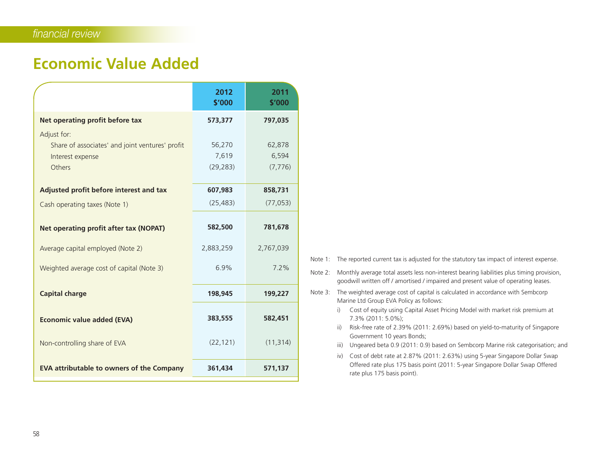## **Economic Value Added**

|                                                                                              | 2012<br>\$'000               | 2011<br>\$'000              |
|----------------------------------------------------------------------------------------------|------------------------------|-----------------------------|
| Net operating profit before tax                                                              | 573,377                      | 797,035                     |
| Adjust for:<br>Share of associates' and joint ventures' profit<br>Interest expense<br>Others | 56,270<br>7,619<br>(29, 283) | 62,878<br>6,594<br>(7, 776) |
| Adjusted profit before interest and tax                                                      | 607,983                      | 858,731                     |
| Cash operating taxes (Note 1)                                                                | (25, 483)                    | (77, 053)                   |
| Net operating profit after tax (NOPAT)                                                       | 582,500                      | 781,678                     |
| Average capital employed (Note 2)                                                            | 2,883,259                    | 2,767,039                   |
| Weighted average cost of capital (Note 3)                                                    | 6.9%                         | 7.2%                        |
| <b>Capital charge</b>                                                                        | 198,945                      | 199,227                     |
| <b>Economic value added (EVA)</b>                                                            | 383,555                      | 582,451                     |
| Non-controlling share of EVA                                                                 | (22, 121)                    | (11, 314)                   |
| <b>EVA attributable to owners of the Company</b>                                             | 361,434                      | 571,137                     |

- Note 1: The reported current tax is adjusted for the statutory tax impact of interest expense.
- Note 2: Monthly average total assets less non-interest bearing liabilities plus timing provision, goodwill written off / amortised / impaired and present value of operating leases.
- Note 3: The weighted average cost of capital is calculated in accordance with Sembcorp Marine Ltd Group EVA Policy as follows:
	- i) Cost of equity using Capital Asset Pricing Model with market risk premium at  $7.3\%$  (2011: 5.0%);
	- ii) Risk-free rate of 2.39% (2011: 2.69%) based on yield-to-maturity of Singapore Government 10 years Bonds;
	- iii) Ungeared beta 0.9 (2011: 0.9) based on Sembcorp Marine risk categorisation; and
	- iv) Cost of debt rate at 2.87% (2011: 2.63%) using 5-year Singapore Dollar Swap Offered rate plus 175 basis point (2011: 5-year Singapore Dollar Swap Offered rate plus 175 basis point).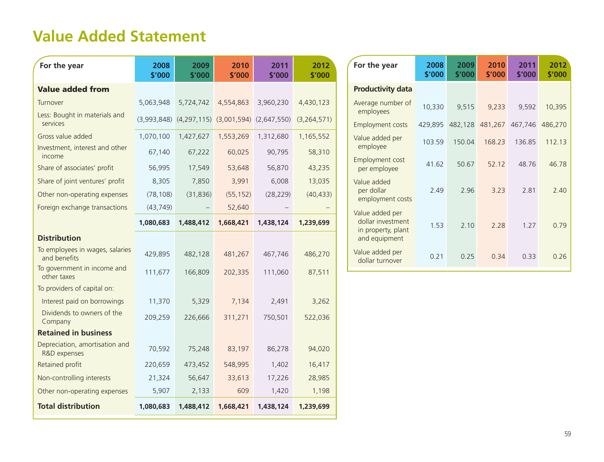## **Value Added Statement**

| For the year                                    | 2008<br>\$'000 | 2009<br>\$'000                                          | 2010<br>\$'000 | 2011<br>\$'000 | 2012<br>\$'000 |
|-------------------------------------------------|----------------|---------------------------------------------------------|----------------|----------------|----------------|
| <b>Value added from</b>                         |                |                                                         |                |                |                |
| Turnover                                        | 5,063,948      | 5,724,742                                               | 4,554,863      | 3,960,230      | 4,430,123      |
| Less: Bought in materials and<br>services       |                | $(3,993,848)$ $(4,297,115)$ $(3,001,594)$ $(2,647,550)$ |                |                | (3, 264, 571)  |
| Gross value added                               | 1,070,100      | 1,427,627                                               | 1,553,269      | 1,312,680      | 1,165,552      |
| Investment, interest and other<br>income        | 67,140         | 67,222                                                  | 60,025         | 90,795         | 58,310         |
| Share of associates' profit                     | 56,995         | 17,549                                                  | 53,648         | 56,870         | 43,235         |
| Share of joint ventures' profit                 | 8,305          | 7,850                                                   | 3,991          | 6,008          | 13,035         |
| Other non-operating expenses                    | (78, 108)      | (31, 836)                                               | (55, 152)      | (28, 229)      | (40, 433)      |
| Foreign exchange transactions                   | (43, 749)      |                                                         | 52,640         |                |                |
|                                                 | 1,080,683      | 1,488,412                                               | 1,668,421      | 1,438,124      | 1,239,699      |
| <b>Distribution</b>                             |                |                                                         |                |                |                |
| To employees in wages, salaries<br>and benefits | 429,895        | 482,128                                                 | 481,267        | 467,746        | 486,270        |
| To government in income and<br>other taxes      | 111,677        | 166,809                                                 | 202,335        | 111,060        | 87,511         |
| To providers of capital on:                     |                |                                                         |                |                |                |
| Interest paid on borrowings                     | 11,370         | 5,329                                                   | 7,134          | 2,491          | 3,262          |
| Dividends to owners of the<br>Company           | 209,259        | 226,666                                                 | 311,271        | 750,501        | 522,036        |
| <b>Retained in business</b>                     |                |                                                         |                |                |                |
| Depreciation, amortisation and<br>R&D expenses  | 70,592         | 75,248                                                  | 83,197         | 86,278         | 94,020         |
| Retained profit                                 | 220,659        | 473,452                                                 | 548,995        | 1,402          | 16,417         |
| Non-controlling interests                       | 21,324         | 56,647                                                  | 33,613         | 17,226         | 28,985         |
| Other non-operating expenses                    | 5,907          | 2,133                                                   | 609            | 1,420          | 1,198          |
| <b>Total distribution</b>                       | 1,080,683      | 1,488,412                                               | 1,668,421      | 1,438,124      | 1,239,699      |

| For the year                                                                | 2008<br>\$'000 | 2009<br>\$'000 | 2010<br>\$'000                  | 2011<br>\$'000 | 2012<br>\$'000 |
|-----------------------------------------------------------------------------|----------------|----------------|---------------------------------|----------------|----------------|
| <b>Productivity data</b>                                                    |                |                |                                 |                |                |
| Average number of<br>employees                                              | 10,330         | 9,515          | 9,233                           | 9,592          | 10,395         |
| <b>Employment costs</b>                                                     | 429,895        |                | 482,128 481,267 467,746 486,270 |                |                |
| Value added per<br>employee                                                 | 103.59         | 150.04         | 168 23                          | 13685          | 112.13         |
| Employment cost<br>per employee                                             | 41.62          | 50.67          | 52 12                           | 4876           | 46.78          |
| Value added<br>per dollar<br>employment costs                               | 2.49           | 2.96           | 3.23                            | 2.81           | 2.40           |
| Value added per<br>dollar investment<br>in property, plant<br>and equipment | 1.53           | 2.10           | 2.28                            | 1 2 7          | 0.79           |
| Value added per<br>dollar turnover                                          | 0.21           | 0.25           | 0.34                            | 0.33           | 0.26           |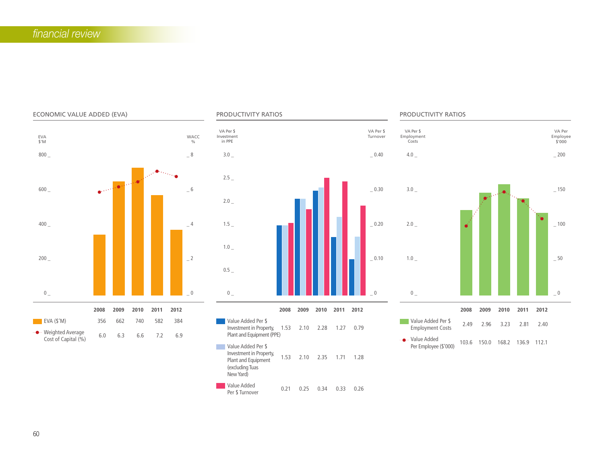